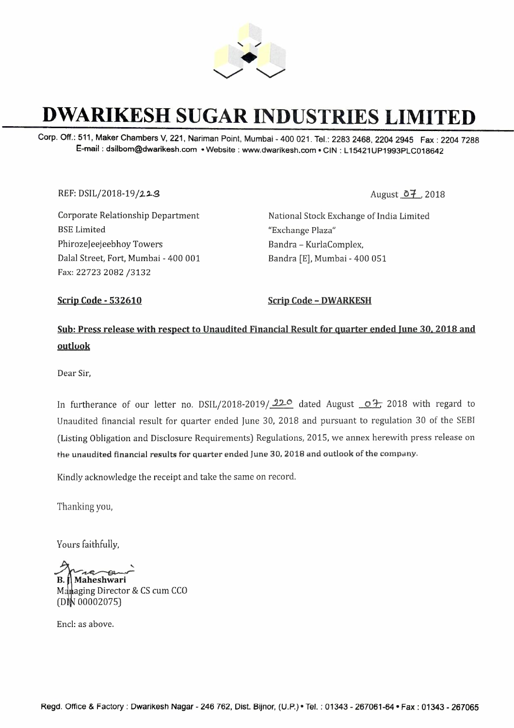

# **DWARIKESH SUGAR INDUSTRIES LIMITED**

Corp. Off.: 511, **Maker Chambers V, 221, Nariman** Point, **Mumbai -** 400 021. Tel.: **2283 2468, 2204 2945 Fax :** 2204 7288 **E-mail : dsilbom@dwarikesh.com • Website : www.dwarikesh.com • GIN : L 15421UP1993PLC018642** 

REF: DSIL/2018-19/223

Corporate Relationship Department BSE Limited PhirozeJeejeebhoy Towers Dalal Street, Fort, Mumbai - 400 001 Fax: 22723 2082 /3132

National Stock Exchange of India Limited "Exchange Plaza" Bandra - KurlaComplex, Bandra [E], Mumbai - 400 051

**Scrip Code - 532610** Scrip Code - DWARKESH

**Sub: Press release with respect to Unaudited Financial Result for quarter ended lune 30, 2018 and outlook** 

Dear Sir,

In furtherance of our letter no. DSIL/2018-2019/22<sup>o</sup> dated August  $\circ$  <sup>2</sup>. 2018 with regard to Unaudited financial result for quarter ended June 30, 2018 and pursuant to regulation 30 of the SEBI (Listing Obligation and Disclosure Requirements) Regulations, 2015, we annex herewith press release on the unaudited financial results for quarter ended June 30, 2018 and outlook of the company.

Kindly acknowledge the receipt and take the same on record.

Thanking you,

Yours faithfully,

ing you,<br>faithfully,<br>**aheshwari**<br>ging Director & CS cum CC **B.** Maheshwari

Managing Director & CS cum CCO 0002075)

Encl: as above.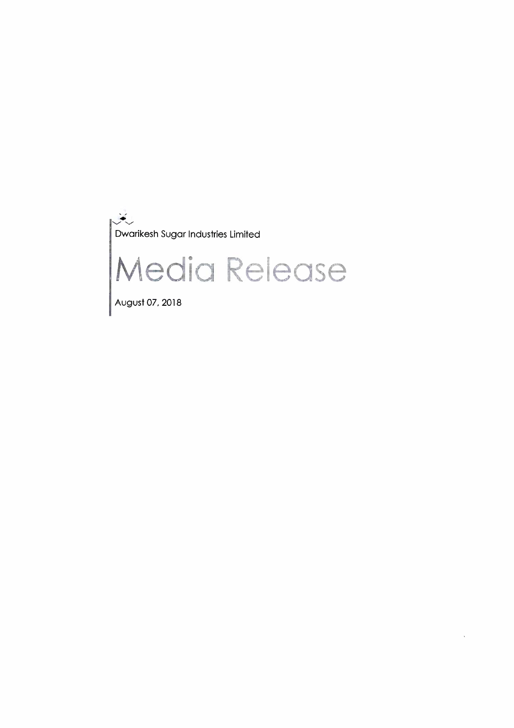$\ddot{\bullet}$ Dwarikesh Sugar Industries Limited

# Media Release

August 07, 2018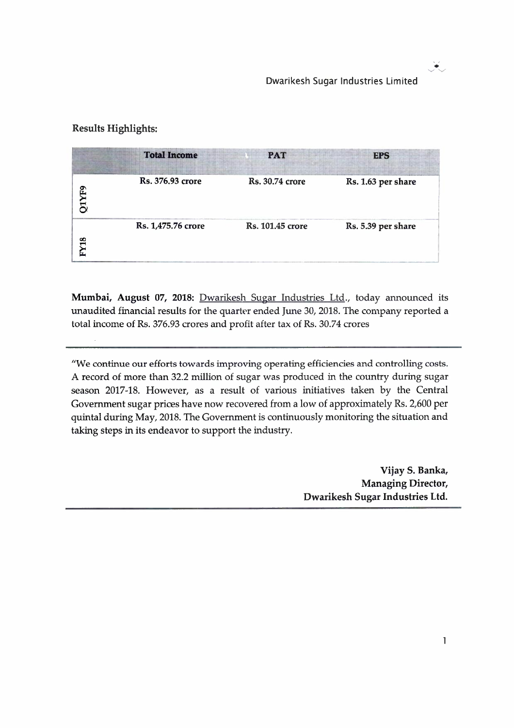سية في المناسب.<br>مسائل

# Results Highlights:

|             | <b>Total Income</b> | <b>PAT</b>              | <b>EPS</b>         |
|-------------|---------------------|-------------------------|--------------------|
| <b>IYF9</b> | Rs. 376.93 crore    | Rs. 30.74 crore         | Rs. 1.63 per share |
| <b>FY18</b> | Rs. 1,475.76 crore  | <b>Rs. 101.45 crore</b> | Rs. 5.39 per share |

**Mumbai, August 07, 2018:** Dwarikesh Sugar Industries Ltd., today announced its unaudited financial results for the quarter ended June 30, 2018. The company reported a total income of Rs. 376.93 crores and profit after tax of Rs. 30.74 crores

"We continue our efforts towards improving operating efficiencies and controlling costs. A record of more than 32.2 million of sugar was produced in the country during sugar season 2017-18. However, as a result of various initiatives taken by the Central Government sugar prices have now recovered from a low of approximately Rs. 2,600 per quintal during May, 2018. The Government is continuously monitoring the situation and taking steps in its endeavor to support the industry.

> **Vijay S. Banka, Managing Director, Dwarikesh Sugar Industries Ltd.**

> > $\mathbf{1}$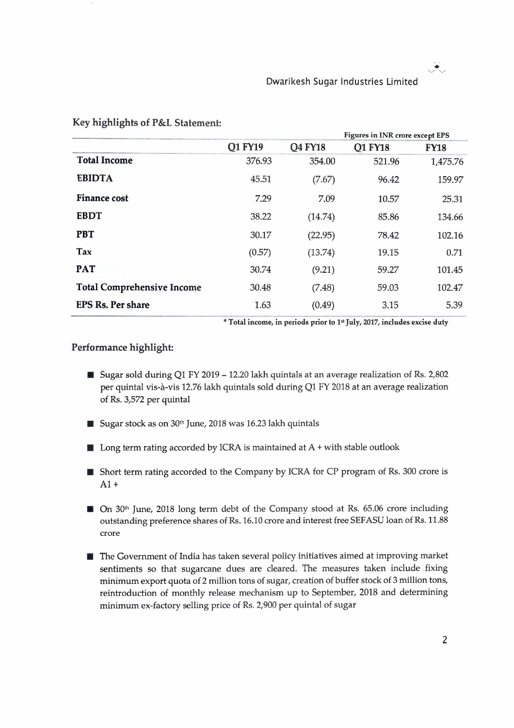$\mathcal{I}_{\mathcal{F}}$ 

| Key highlights of P&L Statement:  |                |                |                                        |             |
|-----------------------------------|----------------|----------------|----------------------------------------|-------------|
|                                   |                |                | <b>Figures in INR crore except EPS</b> |             |
|                                   | <b>Q1 FY19</b> | <b>O4 FY18</b> | <b>O1 FY18</b>                         | <b>FY18</b> |
| <b>Total Income</b>               | 376.93         | 354.00         | 521.96                                 | 1,475.76    |
| <b>EBIDTA</b>                     | 45.51          | (7.67)         | 96.42                                  | 159.97      |
| <b>Finance cost</b>               | 7.29           | 7.09           | 10.57                                  | 25.31       |
| <b>EBDT</b>                       | 38.22          | (14.74)        | 85.86                                  | 134.66      |
| <b>PBT</b>                        | 30.17          | (22.95)        | 78.42                                  | 102.16      |
| Tax                               | (0.57)         | (13.74)        | 19.15                                  | 0.71        |
| <b>PAT</b>                        | 30.74          | (9.21)         | 59.27                                  | 101.45      |
| <b>Total Comprehensive Income</b> | 30.48          | (7.48)         | 59.03                                  | 102.47      |
| <b>EPS Rs. Per share</b>          | 1.63           | (0.49)         | 3.15                                   | 5.39        |

\* **Total income, in periods prior to 1• <sup>1</sup>July, 2017, includes excise duty** 

#### **Performance highlight:**

- Sugar sold during Q1 FY 2019 12.20 lakh quintals at an average realization of Rs. 2,802 per quintal vis-à-vis 12.76 lakh quintals sold during Q1 FY 2018 at an average realization of Rs. 3,572 per quintal
- $\blacksquare$  Sugar stock as on 30<sup>th</sup> June, 2018 was 16.23 lakh quintals
- $\blacksquare$  Long term rating accorded by ICRA is maintained at A + with stable outlook
- **Short term rating accorded to the Company by ICRA for CP program of Rs. 300 crore is**  $A1+$
- On 30<sup>th</sup> June, 2018 long term debt of the Company stood at Rs. 65.06 crore including outstanding preference shares of Rs. 16.10 crore and interest free SEFASU loan of Rs. 11.88 crore
- **The Government of India has taken several policy initiatives aimed at improving market** sentiments so that sugarcane dues are cleared. The measures taken include fixing minimum export quota of 2 million tons of sugar, creation of buffer stock of 3 million tons, reintroduction of monthly release mechanism up to September, 2018 and determining minimum ex-factory selling price of Rs. 2,900 per quintal of sugar